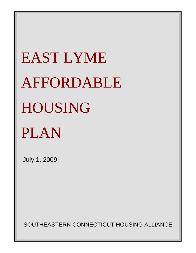# EAST LYME AFFORDABLE HOUSING PLAN

July 1, 2009

SOUTHEASTERN CONNECTICUT HOUSING ALLIANCE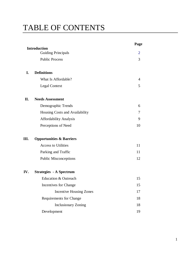# TABLE OF CONTENTS

|     |                                                  | Page           |
|-----|--------------------------------------------------|----------------|
|     | <b>Introduction</b><br><b>Guiding Principals</b> | $\overline{2}$ |
|     | <b>Public Process</b>                            | 3              |
| I.  | <b>Definitions</b>                               |                |
|     | What Is Affordable?                              | $\overline{4}$ |
|     | <b>Legal Context</b>                             | 5              |
|     |                                                  |                |
| II. | <b>Needs Assessment</b>                          |                |
|     | Demographic Trends                               | 6              |
|     | Housing Costs and Availability                   | 7              |
|     | <b>Affordability Analysis</b>                    | 9              |
|     | Perceptions of Need                              | 10             |
| Ш.  | <b>Opportunities &amp; Barriers</b>              |                |
|     | <b>Access to Utilities</b>                       | 11             |
|     | Parking and Traffic                              | 11             |
|     | <b>Public Misconceptions</b>                     | 12             |
| IV. | <b>Strategies - A Spectrum</b>                   |                |
|     | <b>Education &amp; Outreach</b>                  | 15             |
|     | Incentives for Change                            | 15             |
|     | <b>Incentive Housing Zones</b>                   | 17             |
|     | <b>Requirements for Change</b>                   | 18             |
|     | <b>Inclusionary Zoning</b>                       | 18             |
|     | Development                                      | 19             |
|     |                                                  |                |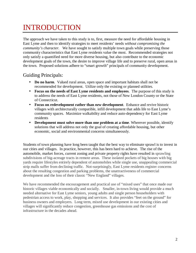# INTRODUCTION

The approach we have taken to this study is to, first, measure the need for affordable housing in East Lyme and then to identify strategies to meet residents' needs *without compromising the community's character.* We have sought to satisfy multiple town goals while preserving those community characteristics that East Lyme residents value the most. Recommended strategies not only satisfy a quantified need for more diverse housing, but also contribute to the economic development goals of the town, the desire to improve village life and to preserve rural, open areas in the town. Proposed solutions adhere to "smart growth" principals of community development.

# Guiding Principals:

- **Do no harm**. Valued rural areas, open space and important habitats shall not be recommended for development. Utilize only the existing or planned utilities.
- **Focus on the needs of East Lyme residents and employees**. The purpose of this study is to address the needs of East Lyme residents, not those of New London County or the State of Connecticut.
- **Focus on** *re***development rather than** *new* **development**. Enhance and revive historic villages with architecturally compatible, infill development that adds life to East Lyme's community spaces. Maximize walkability and reduce auto-dependency for East Lyme residents
- **Development must solve more than one problem at a time**. Wherever possible, identify solutions that will address not only the goal of creating affordable housing, but other economic, social and environmental concerns simultaneously.

Students of town planning have long been taught that the best way to eliminate sprawl is to invest in our cities and villages. In practice, however, this has been hard to achieve. The rise of the automobile, market forces, current zoning and private property rights have resulted in sprawling subdivisions of big-acreage tracts in remote areas. These isolated pockets of big houses with big yards require lifestyles entirely dependent of automobiles while single use, unappealing commercial strip malls suffer from declining traffic. Not-surprisingly, East Lyme residents register concerns about the resulting congestion and parking problems, the unattractiveness of commercial development and the loss of their classic "New England" villages.

We have recommended the encouragement and practical use of "mixed uses" that once made our historic villages viable economically and socially. Smaller, in-town living would provide a much needed alternative for East Lyme seniors, young adults and single person householders with pedestrian access to work, play, shopping and services. It also provides "feet on the ground" for business owners and employers. Long term, mixed use development in our existing cities and villages will significantly reduce congestion, greenhouse gas emissions and the cost of infrastructure in the decades ahead.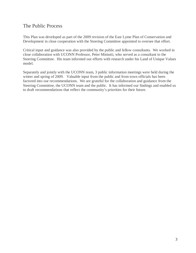## The Public Process

This Plan was developed as part of the 2009 revision of the East Lyme Plan of Conservation and Development in close cooperation with the Steering Committee appointed to oversee that effort.

Critical input and guidance was also provided by the public and fellow consultants. We worked in close collaboration with UCONN Professor, Peter Miniutti, who served as a consultant to the Steering Committee. His team informed our efforts with research under his Land of Unique Values model.

Separately and jointly with the UCONN team, 3 public information meetings were held during the winter and spring of 2009. Valuable input from the public and from town officials has been factored into our recommendations. We are grateful for the collaboration and guidance from the Steering Committee, the UCONN team and the public. It has informed our findings and enabled us to draft recommendations that reflect the community's priorities for their future.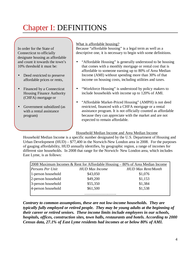# Chapter I: DEFINITIONS

In order for the State of Connecticut to officially designate housing as affordable and count it towards the town's 10% threshold it must be:

- Deed restricted to preserve affordable prices or rents,
- Financed by a Connecticut Housing Finance Authority (CHFA) mortgage or
- Government subsidized (as with a rental assistance program)

#### What is affordable housing?

Because "affordable housing" is a legal term as well as a descriptive one, it is necessary to begin with some definitions.

- "Affordable Housing" is generally understood to be housing that comes with a monthly mortgage or rental cost that is affordable to someone earning up to 80% of Area Median Income (AMI) without spending more than 30% of that income on housing costs, including utilities and taxes.
- "Workforce Housing" is understood by policy makers to include households with income up to 120% of AMI.
- "Affordable Market-Priced Housing" (AMPH) is not deed restricted, financed with a CHFA mortgage or a rental assistance program. It is not officially counted as affordable because they can appreciate with the market and are not expected to remain affordable.

Household Median Income and Area Median Income

Household Median Income is a specific number designated by the U.S. Department of Housing and Urban Development (HUD) – \$77,400 in the Norwich-New London area in 2008. For the purposes of gauging affordability, HUD annually identifies, by geographic region, a range of incomes for different size households. In 2008 that range for the Norwich- New London area, which includes East Lyme, is as follows:

| 2008 Maximum Incomes & Rent for Affordable Housing $-80\%$ of Area Median Income |                       |                           |  |  |  |
|----------------------------------------------------------------------------------|-----------------------|---------------------------|--|--|--|
| Persons Per Unit                                                                 | <b>HUD Max Income</b> | <b>HUD Max Rent/Month</b> |  |  |  |
| 1-person household                                                               | \$43,050              | \$1,076                   |  |  |  |
| 2-person household                                                               | \$49,200              | \$1,153                   |  |  |  |
| 3-person household                                                               | \$55,350              | \$1,384                   |  |  |  |
| 4-person household                                                               | \$61,500              | \$1,538                   |  |  |  |
|                                                                                  |                       |                           |  |  |  |

*Contrary to common assumptions, these are not low-income households. They are typically fully employed or retired people. They may be young adults at the beginning of their career or retired seniors. These income limits include employees in our schools, hospitals, offices, construction sites, town halls, restaurants and hotels. According to 2000 Census data, 27.1% of East Lyme residents had incomes at or below 80% of AMI.*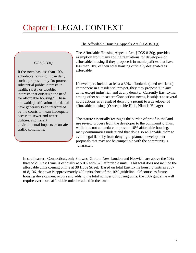# Chapter I: LEGAL CONTEXT

#### CGS 8-30g:

If the town has less than 10% affordable housing, it can deny such a proposal only "to protect substantial public interests in health, safety or…public interests that outweigh the need for affordable housing." These allowable justifications for denial have generally been interpreted by the courts to mean inadequate access to sewer and water utilities, significant environmental impacts or unsafe traffic conditions.

#### The Affordable Housing Appeals Act (CGS 8-30g)

The Affordable Housing Appeals Act, §CGS 8-30g, provides exemption from many zoning regulations for developers of affordable housing if they propose it in municipalities that have less than 10% of their total housing officially designated as affordable.

If developers include at least a 30% affordable (deed restricted) component in a residential project, they may propose it in any zone, except industrial, and at any density. Currently East Lyme, among other southeastern Connecticut towns, is subject to several court actions as a result of denying a permit to a developer of affordable housing. (Oswegatchie Hills, Niantic Village)

The statute essentially reassigns the burden of proof in the land use review process from the developer to the community. Thus, while it is not a mandate to provide 10% affordable housing, many communities understand that doing so will enable them to avoid legal liability from denying unplanned development proposals that may not be compatible with the community's character.

In southeastern Connecticut, only 3 towns, Groton, New London and Norwich, are above the 10% threshold. East Lyme is officially at 5.0% with 373 affordable units. This total does not include the affordable units coming online at 38 Hope Street. Based on total East Lyme housing units in 2007 of 8,136, the town is approximately 400 units short of the 10% guideline. Of course as future housing development occurs and adds to the total number of housing units, the 10% guideline will require ever more affordable units be added in the town.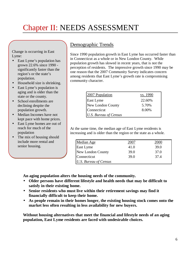# Chapter II: NEEDS ASSESSMENT

Change is occurring in East Lyme:

- East Lyme's population has grown 22.6% since 1990 significantly faster than the region's or the state's population.
- Household size is shrinking.
- East Lyme's population is aging and is older than the state or the county.
- School enrollments are declining despite the population growth.
- Median Incomes have not kept pace with home prices.
- East Lyme homes are out of reach for much of the population
- The mix of housing should include more rental and senior housing.

# Demographic Trends

Since 1990 population growth in East Lyme has occurred faster than in Connecticut as a whole or in New London County. While population growth has slowed in recent years, that is not the perception of residents. The impressive growth since 1990 may be one reason that the 2007 Community Survey indicates concern among residents that East Lyme's growth rate is compromising community character.

| 2007 Population       | vs. 1990 |
|-----------------------|----------|
| East Lyme             | 22.60%   |
| New London County     | 5.70%    |
| Connecticut           | 8.00%    |
| U.S. Bureau of Census |          |

At the same time, the median age of East Lyme residents is increasing and is older than the region or the state as a whole.

| Median Age            | 2007 | 2000 |
|-----------------------|------|------|
| East Lyme             | 41.0 | 39.0 |
| New London County     | 39.0 | 37.0 |
| Connecticut           | 39.0 | 37.4 |
| U.S. Bureau of Census |      |      |

**An aging population alters the housing needs of the community.** 

- **Older persons have different lifestyle and health needs that may be difficult to satisfy in their existing home.**
- **Senior residents who must live within their retirement savings may find it financially difficult to keep their home.**
- **As people remain in their homes longer, the existing housing stock comes onto the market less often resulting in less availability for new buyers.**

**Without housing alternatives that meet the financial and lifestyle needs of an aging population, East Lyme residents are faced with undesirable choices.**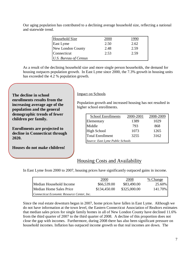| Our aging population has contributed to a declining average household size, reflecting a national |  |
|---------------------------------------------------------------------------------------------------|--|
| and statewide trend.                                                                              |  |

| <b>Household Size</b> | <b>2000</b> | .990. |
|-----------------------|-------------|-------|
| East Lyme             | 2.50        | 2.62  |
| New London County     | 2.48        | 2.59  |
| Connecticut           | 2.53        | 2.59  |
| U.S. Bureau of Census |             |       |

As a result of the declining household size and more single person households, the demand for housing outpaces population growth. In East Lyme since 2000, the 7.3% growth in housing units has exceeded the 4.2 % population growth.

**The decline in school enrollments results from the increasing average age of the population and the general demographic trends of fewer children per family.** 

**Enrollments are projected to decline in Connecticut through 2020.** 

**Houses do not make children!**

#### Impact on Schools

Population growth and increased housing has not resulted in higher school enrollments.

| <b>School Enrollments</b>        | 2000-2001 | 2008-2009 |  |  |  |
|----------------------------------|-----------|-----------|--|--|--|
| Elementary                       | 1389      | 1029      |  |  |  |
| Middle                           | 793       | 868       |  |  |  |
| High School                      | 1073      | 1265      |  |  |  |
| Total Enrollment                 | 3255      | 3162      |  |  |  |
| Source: East Lyme Public Schools |           |           |  |  |  |

## Housing Costs and Availability

In East Lyme from 2000 to 2007, housing prices have significantly outpaced gains in income.

|                                            | 2000         | 2008         | % Change |
|--------------------------------------------|--------------|--------------|----------|
| Median Household Income                    | \$66,539.00  | \$83,490.00  | 25.60%   |
| Median Home Sales Price                    | \$134,450.00 | \$325,000.00 | 141.70%  |
| Connecticut Economic Resource Center, Inc. |              |              |          |

Since the real estate downturn began in 2007, home prices have fallen in East Lyme. Although we do not have information at the town level, the Eastern Connecticut Association of Realtors estimates that median sales prices for single family homes in all of New London County have declined 11.6% from the third quarter of 2007 to the third quarter of 2008. A decline of this proportion does not close the gap with incomes. Furthermore, during 2008 there has also been significant pressure on household incomes. Inflation has outpaced income growth so that real incomes are down. The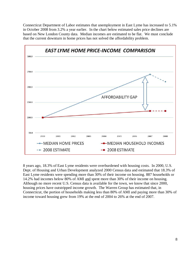Connecticut Department of Labor estimates that unemployment in East Lyme has increased to 5.1% in October 2008 from 3.2% a year earlier. In the chart below estimated sales price declines are based on New London County data. Median incomes are estimated to be flat. We must conclude that the current downturn in home prices has not solved the affordability problem.



8 years ago, 18.3% of East Lyme residents were overburdened with housing costs. In 2000, U.S. Dept. of Housing and Urban Development analyzed 2000 Census data and estimated that 18.3% of East Lyme residents were spending more than 30% of their income on housing. 887 households or 14.2% had incomes below 80% of AMI and spent more than 30% of their income on housing. Although no more recent U.S. Census data is available for the town, we know that since 2000, housing prices have outstripped income growth. The Warren Group has estimated that, in Connecticut, the portion of households making less than 80% of AMI and paying more than 30% of income toward housing grew from 19% at the end of 2004 to 26% at the end of 2007.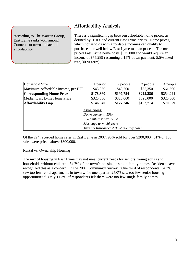According to The Warren Group, East Lyme ranks 76th among Connecticut towns in lack of affordability.

# Affordability Analysis

There is a significant gap between affordable home prices, as defined by HUD, and current East Lyme prices. Home prices, which households with affordable incomes can qualify to purchase, are well below East Lyme median prices. The median priced East Lyme home costs \$325,000 and would require an income of \$75,289 (assuming a 15% down payment, 5.5% fixed rate, 30-yr term).

| Household Size                     | 1 person                                | 2 people  | 3 people  | 4 people  |
|------------------------------------|-----------------------------------------|-----------|-----------|-----------|
| Maximum Affordable Income, per HUI | \$43,050                                | \$49,200  | \$55,350  | \$61,500  |
| <b>Corresponding Home Price</b>    | \$178,360                               | \$197,754 | \$222,286 | \$254,941 |
| Median East Lyme Home Price        | \$325,000                               | \$325,000 | \$325,000 | \$325,000 |
| <b>Affordability Gap</b>           | \$146,640                               | \$127,246 | \$102,714 | \$70,059  |
|                                    | <b>Assumptions:</b>                     |           |           |           |
|                                    | Down payment: 15%                       |           |           |           |
|                                    | Fixed interest rate: 5.5%               |           |           |           |
|                                    | Mortgage term: 30 years                 |           |           |           |
|                                    | Taxes & Insurance: 20% of monthly costs |           |           |           |

Of the 224 recorded home sales in East Lyme in 2007, 95% sold for over \$200,000. 61% or 136 sales were priced above \$300,000.

#### Rental vs. Ownership Housing

The mix of housing in East Lyme may not meet current needs for seniors, young adults and households without children. 84.7% of the town's housing is single-family homes. Residents have recognized this as a concern. In the 2007 Community Survey, "One third of respondents, 34.3%, saw too few rental apartments in town while one quarter, 25.0% saw too few senior housing opportunities." Only 11.3% of respondents felt there were too few single family homes.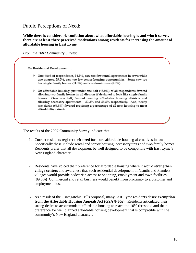#### Public Perceptions of Need:

**While there is considerable confusion about what affordable housing is and who it serves, there are at least three perceived motivations among residents for increasing the amount of affordable housing in East Lyme.**

*From the 2007 Community Survey*:

On Residential Development...

- $\triangleright$  One third of respondents, 34.3%, saw too few rental apartments in town while one quarter, 25.0%, saw too few senior housing opportunities. Some saw too few single family homes (11.3%) and condominiums (8.8%).
- $\triangleright$  On affordable housing, just under one half (48.0%) of all respondents favored allowing two-family homes in all districts if designed to look like single family homes. Over one half, favored creating affordable housing districts and allowing accessory apartments - 52.3% and 53.5% respectively. And, nearly two thirds (64.8%) favored requiring a percentage of all new housing to meet affordability criteria.

The results of the 2007 Community Survey indicate that:

- 1. Current residents register their **need** for more affordable housing alternatives in town. Specifically these include rental and senior housing, accessory units and two-family homes. Residents prefer that all development be well designed to be compatible with East Lyme's New England character.
- 2. Residents have voiced their preference for affordable housing where it would **strengthen village centers** and awareness that such residential development in Niantic and Flanders villages would provide pedestrian access to shopping, employment and town facilities. (89.5%) Commercial and retail business would benefit from proximity to a customer and employment base.
- 3. As a result of the Oswegatchie Hills proposal, many East Lyme residents desire **exemption from the Affordable Housing Appeals Act (GSA 8-30g).** Residents articulated their strong desire to accommodate affordable housing to reach the 10% threshold and their preference for well planned affordable housing development that is compatible with the community's New England character.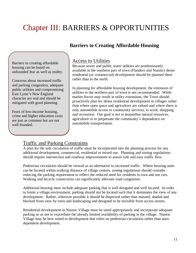# Chapter III: BARRIERS & OPPORTUNITIES

# **Barriers to Creating Affordable Housing**

Barriers to creating affordable housing can be based on unfounded fear as well as reality.

Concerns about increased traffic and parking congestion, adequate public utilities and compromising East Lyme's New England character are real and should be mitigated with good planning.

Fears of low-income housing, crime and higher education costs are just as common but are not well founded.

## Access to Utilities

Because sewer and public water utilities are predominantly available in the southern part of town (Flanders and Niantic) dense residential (or commercial) development should be planned there rather than in the north.

In planning for affordable housing development, the extension of utilities to the northern part of town is not recommended. While market forces may result in utility extensions, the Town should proactively plan for dense residential development in villages rather than where open space and agriculture are valued and where there is only automobile access to community services, to work, shopping and recreation. Our goal is not to jeopardize natural resources, agriculture or to perpetuate the community's dependence on automobile transportation.

## Traffic and Parking Constraints

A plan for the safe circulation of traffic must be incorporated into the planning process for any additional development, commercial, residential or mixed use. Planning and zoning regulations should require intersection and roadway improvements to assure safe and easy traffic flow.

Pedestrian circulation should be viewed as an alternative to increased traffic. Where housing units can be located within walking distance of village centers, zoning regulations should consider reducing the parking requirement to reflect the reduced need for residents to own and use cars. Walking and bicycle connections can significantly alleviate road congestion.

Additional housing must include adequate parking that is well designed and well located. In order to foster a village environment, parking should not be located such that it dominates the view of any development. Rather, wherever possible it should be dispersed rather than massed, shaded and blocked from view by trees and landscaping and designed to be invisible from access streets.

Residential development in Niantic Village must be sized appropriately and incorporate adequate parking so as not to exacerbate the already limited availability of parking in the village. Niantic Village may be best suited to development that relies on pedestrian circulation rather than autodependent development.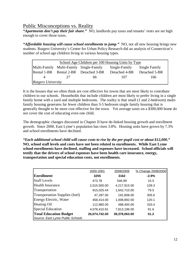## Public Misconceptions vs. Reality

*"Apartments don't pay their fair share."* NO, landlords pay taxes and tenants' rents are set high enough to cover those taxes.

*"Affordable housing will cause school enrollments to jump."* NO, not all new housing brings new students. Rutgers University's Center for Urban Policy Research did an analysis of Connecticut's number of school age children living in various housing types.

| School Age Children per 100 Housing Units by Type |                                                                        |                                       |               |               |  |  |
|---------------------------------------------------|------------------------------------------------------------------------|---------------------------------------|---------------|---------------|--|--|
|                                                   | Multi-Family Multi-Family Single-Family<br>Single-Family Single Family |                                       |               |               |  |  |
|                                                   |                                                                        | Rental 1-BR Rental 2-BR Detached 3-BR | Detached 4-BR | Detached 5-BR |  |  |
| $\Delta$                                          | 27                                                                     | 66                                    | 107           | 166           |  |  |
| <b>Rutgers University</b>                         |                                                                        |                                       |               |               |  |  |

It is the houses that we often think are cost effective for towns that are most likely to contribute children to our schools. Households that include children are most likely to prefer living in a single family home with a yard and multiple bedrooms. The reality is that small (1 and 2-bedroom) multifamily housing generates far fewer children than 3-5 bedroom single family housing that is generally thought to be more cost effective for the town. Yet average taxes on a \$300,000 home do not cover the cost of educating even one child.

The demographic changes discussed in Chapter II have de-linked housing growth and enrollment growth. Since 2000, East Lyme's population has risen 3.8%. Housing units have grown by 7.3% and school enrollments have declined.

*"Each additional school child will cause costs to rise by the per-pupil cost or about \$12,000."*  **NO, school staff levels and costs have not been related to enrollments. While East Lyme school enrollments have declined, staffing and expenses have increased. School officials will testify that the drivers of school expenses have been health care insurance, energy, transportation and special education costs, not enrollments.**

|                                       | 2000-2001     | 2008/2009     | % Change 2008/2000 |
|---------------------------------------|---------------|---------------|--------------------|
| Enrollment                            | 3255          | 3162          | $-2.9%$            |
| <b>Staff Levels</b>                   | 473.78        | 546.99        | 15.5               |
| <b>Health Insurance</b>               | 2,015,500.00  | 4,217,915.00  | 109.3              |
| Transportation                        | 915,025.44    | 1,642,710.00  | 79.5               |
| <b>Transportation Supplies (fuel)</b> | 47,287.00     | 191,808.00    | 305.6              |
| <b>Energy Electric, Water</b>         | 458,414.00    | 1,008,892.00  | 120.1              |
| <b>Heating Oil</b>                    | 112,680.00    | 488,400.00    | 333.4              |
| <b>Special Education</b>              | 4,078,410.91  | 7,813,196.00  | 91.6               |
| <b>Total Education Budget</b>         | 26,074,742.00 | 39,378,063.00 | 51.2               |
| Source: East Lyme Public Schools      |               |               |                    |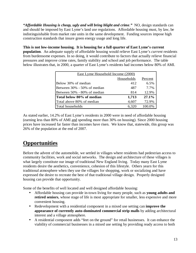*"Affordable Housing is cheap, ugly and will bring blight and crime."* NO, design standards can and should be imposed by East Lyme's land use regulations. Affordable housing must, by law, be indistinguishable from market rate units in the same development. Funding sources impose high construction standards that insure green energy usage and long life.

**This is not low-income housing. It is housing for a full quarter of East Lyme's current population**. An adequate supply of affordable housing would relieve East Lyme's *current* residents from burdensome expenses. In so doing, it would contribute to factors that actually relieve financial pressures and improve crime rates, family stability and school and job performance. The table below illustrates that, in 2000, a quarter of East Lyme's residents had incomes below 80% of AMI.

| <b>East Lyme Household Income (2000)</b> |       |        |  |  |
|------------------------------------------|-------|--------|--|--|
| Households<br>Percent                    |       |        |  |  |
| Below 30% of median                      | 412   | 6.5%   |  |  |
| Between 30% - 50% of median              | 487   | 7.7%   |  |  |
| Between 50% - 80% of median              | 814   | 12.9%  |  |  |
| lTotal below 80% of median               | 1,713 | 27.1%  |  |  |
| Total above 80% of median                | 4,607 | 72.9%  |  |  |
| Total households                         | 6,320 | 100.0% |  |  |

As stated earlier, 14.2% of East Lyme's residents in 2000 were in need of affordable housing (earning less than 80% of AMI and spending more than 30% on housing). Since 2000 housing prices have increased far faster than incomes have risen. We know that, statewide, this group was 26% of the population at the end of 2007.

# **Opportunities**

Before the advent of the automobile, we settled in villages where residents had pedestrian access to community facilities, work and social networks. The design and architecture of these villages is what largely constitute our image of traditional New England living. Today many East Lyme residents desire the aesthetics, convenience, cohesion of this lifestyle. Others yearn for this traditional atmosphere when they use the villages for shopping, work or socializing and have expressed the desire to recreate the best of that traditional village design. Properly designed housing can provide that opportunity.

Some of the benefits of well located and well designed affordable housing:

- Affordable housing can provide in-town living for many people, such as **young adults and retired seniors**, whose stage of life is most appropriate for smaller, less expensive and more convenient housing.
- Redevelopment with a residential component in a mixed use setting can **improve the appearance of currently auto-dominated commercial strip malls** by adding architectural interest and a village atmosphere.
- A residential component adds "feet on the ground" for retail businesses. It can enhance the viability of commercial businesses in a mixed use setting by providing ready access to both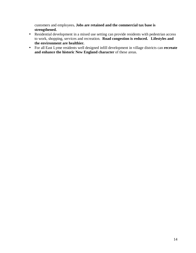customers and employees**. Jobs are retained and the commercial tax base is strengthened.** 

- Residential development in a mixed use setting can provide residents with pedestrian access to work, shopping, services and recreation. **Road congestion is reduced. Lifestyles and the environment are healthier.**
- For all East Lyme residents well designed infill development in village districts can **recreate and enhance the historic New England character** of these areas.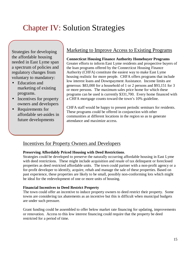# Chapter IV: Solution Strategies

Strategies for developing the affordable housing needed in East Lyme span a spectrum of policies and regulatory changes from voluntary to mandatory:

- Education and marketing of existing programs.
- Incentives for property owners and developers
- Requirements for affordable set-asides in future developments

# Marketing to Improve Access to Existing Programs

**Connecticut Housing Finance Authority Homebuyer Programs**  Greater efforts to inform East Lyme residents and prospective buyers of the loan programs offered by the Connecticut Housing Finance Authority (CHFA) constitute the easiest way to make East Lyme housing realistic for more people. CHFA offers programs that include low interest loans and Downpayment Assistance. Income limits are generous: \$83,000 for a household of 1 or 2 persons and \$93,151 for 3 or more persons. The maximum sales price home for which these programs can be used is currently \$331,700. Every home financed with a CHFA mortgage counts toward the town's 10% guideline.

CHFA staff would be happy to present periodic seminars for residents. These programs could be offered in conjunction with other communities at different locations in the region so as to generate attendance and maximize access.

## Incentives for Property Owners and Developers

#### **Preserving Affordably Priced Housing with Deed Restrictions**.

Strategies could be developed to preserve the naturally occurring affordable housing in East Lyme with deed restrictions. These might include acquisition and resale of tax delinquent or foreclosed properties as deed restricted affordable units. The town could partner with a non-profit agency or a for-profit developer to identify, acquire, rehab and manage the sale of these properties. Based on past experience, these properties are likely to be small, possibly non-conforming lots which might be ideal for the redevelopment of one or more units of housing.

#### **Financial Incentives to Deed Restrict Property**

The town could offer an incentive to induce property owners to deed restrict their property. Some towns are considering tax abatements as an incentive but this is difficult when municipal budgets are under such pressure.

Grant funding could be assembled to offer below market rate financing for updating, improvements or renovation. Access to this low interest financing could require that the property be deed restricted for a period of time.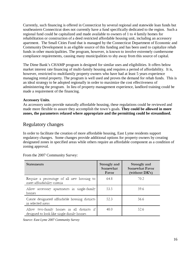Currently, such financing is offered in Connecticut by several regional and statewide loan funds but southeastern Connecticut does not currently have a fund specifically dedicated to the region. Such a regional fund could be capitalized and made available to owners of 1 to 4 family homes for rehabilitation or construction of a deed restricted affordable housing unit, including an accessory apartment. The Small Cities Fund that is managed by the Connecticut Department of Economic and Community Development is an eligible source of this funding and has been used to capitalize rehab funds in other municipalities. The program, however, is known to involve extremely cumbersome compliance requirements, causing many municipalities to shy away from this source of capital.

The Dime Bank's CHAMP program is designed for similar uses and eligibilities. It offers below market interest rate financing of multi-family housing and requires a period of affordability. It is, however, restricted to multifamily property owners who have had at least 5 years experience managing rental property. The program is well used and proves the demand for rehab funds. This is an ideal strategy to be adopted regionally in order to maximize the cost effectiveness of administering the program. In lieu of property management experience, landlord training could be made a requirement of the financing.

#### **Accessory Units**.

As accessory units provide naturally affordable housing, these regulations could be reviewed and made more flexible to assure they accomplish the town's goals. **They could be allowed in more zones, the parameters relaxed where appropriate and the permitting could be streamlined.**

#### Regulatory changes

In order to facilitate the creation of more affordable housing, East Lyme residents support regulatory changes. Some changes provide additional options for property owners by creating designated zones in specified areas while others require an affordable component as a condition of zoning approval.

| Statements                                                                              | Strongly and<br>Somewhat<br>Favor | Strongly and<br>Somewhat Favor<br>(without DK's) |
|-----------------------------------------------------------------------------------------|-----------------------------------|--------------------------------------------------|
| Require a percentage of all new housing to<br>meet affordability criteria               | 64.8                              | 70.2                                             |
| Allow accessory apartments in single-family<br>homes                                    | 53.5                              | 59.6                                             |
| Create designated affordable housing districts<br>in selected areas                     | 52.3                              | 56.6                                             |
| Allow two-family homes in all districts if<br>designed to look like single-family homes | 48.0                              | 52.6                                             |

From the 2007 Community Survey:

*Source: East Lyme 2007 Community Survey*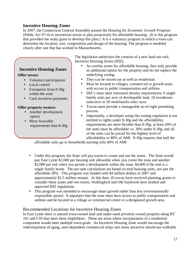#### **Incentive Housing Zones**

**Incentive Housing Zones** 

• Voluntary participation

• Exemption from 8-30g within the zone

• Cash incentive payments

• Another development

requirements than 8-30g

• Local control

**Offer property owners:** 

option • More favorable

**Offer towns:** 

In 2007, the Connecticut General Assembly passed the *Housing for Economic Growth Program* (Public Act 07-4) to incentivize towns to plan proactively for affordable housing. (It is this program that provided the study grant to develop this plan.) It is a voluntary program in which a town can determine the location, size, composition and design of the housing. The program is modeled closely after one that has worked in Massachusetts.

> The legislation authorizes the creation of a new land use tool, Incentive Housing Zones (IHZ).

- As overlay zones for affordable housing, they only provide an additional option for the property and do not replace the underlying zoning.
- They can be mixed use as well as residential.
- Must be located in villages, commercial or growth areas with access to public transportation and utilities.
- IHZ's must meet minimum density requirements: 6 single family units per acre of developable land, 10 townhouse units/acre or 20 multifamily units /acre.
- Towns must provide a manageable as-of-right permitting process.
- Importantly, a developer using this zoning regulation is not entitled to rights under 8-30g and the affordability requirements are more flexible than 8-30g: at least 20% of the units must be affordable vs. 30% under 8-30g, and all of the units can be priced for the highest level of affordability or 80% of AMI. 8-30g requires that half the

affordable units go to households earning only 60% of AMI

- Under this program, the State will pay towns to create and use the zones. The State would pay East Lyme \$2,000 per housing unit allowable when you create the zone and another \$2,000 per unit when you permit a development within the zone, \$4,000 if the unit is a single family home. The per-unit calculations are based on total housing units, not just the affordable 20%. This program was funded with \$4 million dollars in 2007 and approximately \$2.5 million remain. At this date, 45 towns have received planning grants to consider these zones and two towns, Wallingford and Old Saybrook have drafted and approved IHZ regulations.
- This program was intended to encourage smart growth rather than less environmentally responsible sprawl. It stipulates that the zone must have access to public transportation and utilities and be located in a village or commercial center or a designated growth area.

#### Recommended Locations for Incentive Housing Zones

In East Lyme there is unused town-owned land and under-used privately owned property along RT 161 and I-95 that meet these eligibilities. These are areas where incorporation of a residential component would meet multiple town goals. An Incentive Housing Zone would encourage the redevelopment of aging, auto-dependent commercial strips into more attractive mixed-use walkable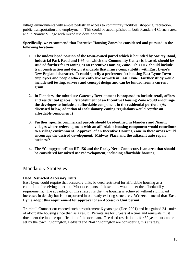village environments with ample pedestrian access to community facilities, shopping, recreation, public transportation and employment. This could be accomplished in both Flanders 4 Corners area and in Niantic Village with mixed use development.

**Specifically, we recommend that Incentive Housing Zones be considered and pursued in the following locations:** 

- **1. The undeveloped portion of the town-owned parcel which is bounded by Society Road, Industrial Park Road and I-95, on which the Community Center is located, should be studied further for rezoning as an Incentive Housing Zone. This IHZ should include trail construction and design standards that insure compatibility with East Lyme's New England character. It could specify a preference for housing East Lyme Town employees and people who currently live or work in East Lyme. Further study would include soil testing, surveys and concept design and can be funded from a current grant.**
- **2. In Flanders, the mixed use Gateway Development is proposed to include retail, offices and residential spaces. Establishment of an Incentive Housing Zone would encourage the developer to include an affordable component in the residential portion. (As discussed below, adoption of Inclusionary Zoning regulations would** *require* **an affordable component.)**
- **3. Further, specific commercial parcels should be identified in Flanders and Niantic villages where redevelopment with an affordable housing component would contribute to a village environment. Approval of an Incentive Housing Zone in these areas would encourage the desired development. Midway Plaza and the adjacent auto repair business?**
- **4. The "Campground" on RT 156 and the Rocky Neck Connector, is an area that should be considered for mixed use redevelopment, including affordable housing.**

#### Mandatory Strategies

#### **Deed Restricted Accessory Units**

East Lyme could require that accessory units be deed restricted for affordable housing as a condition of receiving a permit. Most occupants of these units would meet the affordability requirements. The advantage of this strategy is that the housing is achieved without significant increases in density but is incorporated into already existing structures. **We recommend that East Lyme adopt this requirement for approval of an Accessory Unit permit.** 

Trumbull Connecticut enacted such a requirement 6 years ago (Dec, 2001) and has gained 241 units of affordable housing since then as a result. Permits are for 5 years at a time and renewals must document the income qualification of the occupant. The deed restriction is for 30 years but can be set by the town. Stonington, Ledyard and North Stonington are considering this strategy.